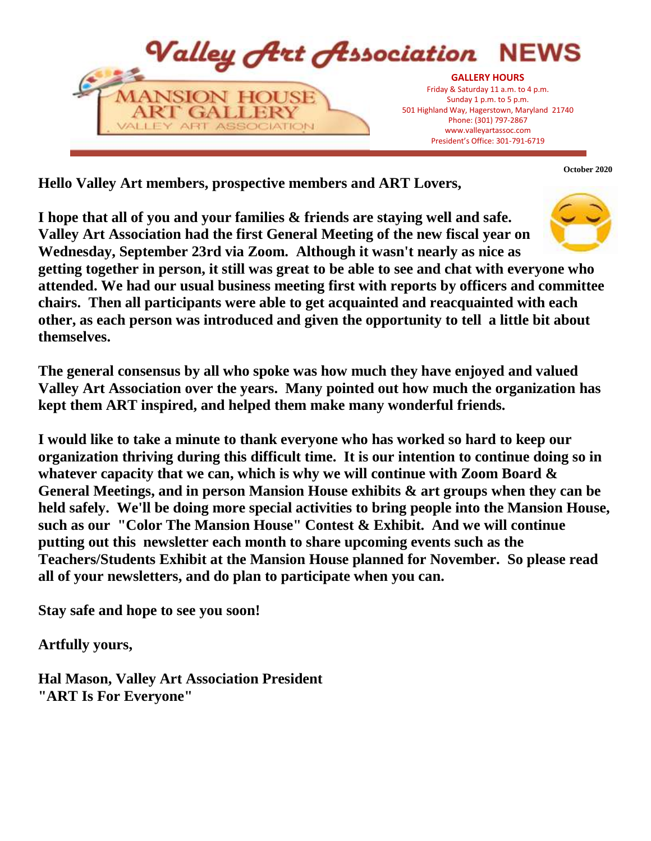

**October 2020**

**Hello Valley Art members, prospective members and ART Lovers,**

**I hope that all of you and your families & friends are staying well and safe. Valley Art Association had the first General Meeting of the new fiscal year on Wednesday, September 23rd via Zoom. Although it wasn't nearly as nice as** 



**getting together in person, it still was great to be able to see and chat with everyone who attended. We had our usual business meeting first with reports by officers and committee chairs. Then all participants were able to get acquainted and reacquainted with each other, as each person was introduced and given the opportunity to tell a little bit about themselves.** 

**The general consensus by all who spoke was how much they have enjoyed and valued Valley Art Association over the years. Many pointed out how much the organization has kept them ART inspired, and helped them make many wonderful friends.** 

**I would like to take a minute to thank everyone who has worked so hard to keep our organization thriving during this difficult time. It is our intention to continue doing so in whatever capacity that we can, which is why we will continue with Zoom Board & General Meetings, and in person Mansion House exhibits & art groups when they can be held safely. We'll be doing more special activities to bring people into the Mansion House, such as our "Color The Mansion House" Contest & Exhibit. And we will continue putting out this newsletter each month to share upcoming events such as the Teachers/Students Exhibit at the Mansion House planned for November. So please read all of your newsletters, and do plan to participate when you can.**

**Stay safe and hope to see you soon!**

**Artfully yours,**

**Hal Mason, Valley Art Association President "ART Is For Everyone"**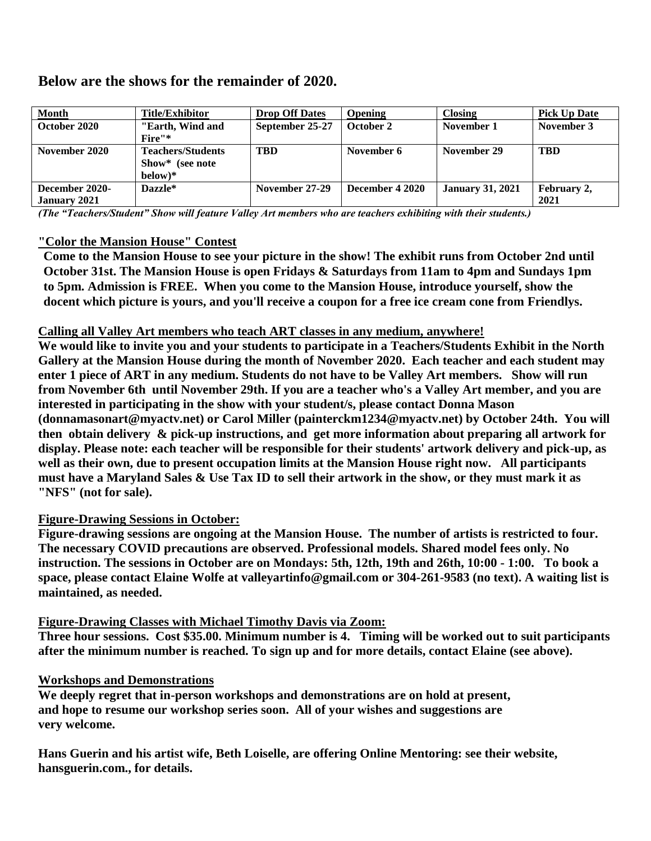# **Below are the shows for the remainder of 2020.**

| <b>Month</b>        | <b>Title/Exhibitor</b>   | <b>Drop Off Dates</b> | <b>Opening</b>  | <b>Closing</b>          | <b>Pick Up Date</b> |
|---------------------|--------------------------|-----------------------|-----------------|-------------------------|---------------------|
| October 2020        | "Earth, Wind and         | September 25-27       | October 2       | November 1              | November 3          |
|                     | Fire"*                   |                       |                 |                         |                     |
| November 2020       | <b>Teachers/Students</b> | <b>TBD</b>            | November 6      | November 29             | <b>TBD</b>          |
|                     | Show* (see note          |                       |                 |                         |                     |
|                     | $below)*$                |                       |                 |                         |                     |
| December 2020-      | Dazzle*                  | November 27-29        | December 4 2020 | <b>January 31, 2021</b> | February 2,         |
| <b>January 2021</b> |                          |                       |                 |                         | 2021                |

*(The "Teachers/Student" Show will feature Valley Art members who are teachers exhibiting with their students.)* 

# **"Color the Mansion House" Contest**

**Come to the Mansion House to see your picture in the show! The exhibit runs from October 2nd until October 31st. The Mansion House is open Fridays & Saturdays from 11am to 4pm and Sundays 1pm to 5pm. Admission is FREE. When you come to the Mansion House, introduce yourself, show the docent which picture is yours, and you'll receive a coupon for a free ice cream cone from Friendlys.**

# **Calling all Valley Art members who teach ART classes in any medium, anywhere!**

**We would like to invite you and your students to participate in a Teachers/Students Exhibit in the North Gallery at the Mansion House during the month of November 2020. Each teacher and each student may enter 1 piece of ART in any medium. Students do not have to be Valley Art members. Show will run from November 6th until November 29th. If you are a teacher who's a Valley Art member, and you are interested in participating in the show with your student/s, please contact Donna Mason (donnamasonart@myactv.net) or Carol Miller (painterckm1234@myactv.net) by October 24th. You will then obtain delivery & pick-up instructions, and get more information about preparing all artwork for display. Please note: each teacher will be responsible for their students' artwork delivery and pick-up, as well as their own, due to present occupation limits at the Mansion House right now. All participants must have a Maryland Sales & Use Tax ID to sell their artwork in the show, or they must mark it as "NFS" (not for sale).**

# **Figure-Drawing Sessions in October:**

**Figure-drawing sessions are ongoing at the Mansion House. The number of artists is restricted to four. The necessary COVID precautions are observed. Professional models. Shared model fees only. No instruction. The sessions in October are on Mondays: 5th, 12th, 19th and 26th, 10:00 - 1:00. To book a space, please contact Elaine Wolfe at valleyartinfo@gmail.com or 304-261-9583 (no text). A waiting list is maintained, as needed.**

#### **Figure-Drawing Classes with Michael Timothy Davis via Zoom:**

**Three hour sessions. Cost \$35.00. Minimum number is 4. Timing will be worked out to suit participants after the minimum number is reached. To sign up and for more details, contact Elaine (see above).**

#### **Workshops and Demonstrations**

**We deeply regret that in-person workshops and demonstrations are on hold at present, and hope to resume our workshop series soon. All of your wishes and suggestions are very welcome.**

**Hans Guerin and his artist wife, Beth Loiselle, are offering Online Mentoring: see their website, hansguerin.com., for details.**